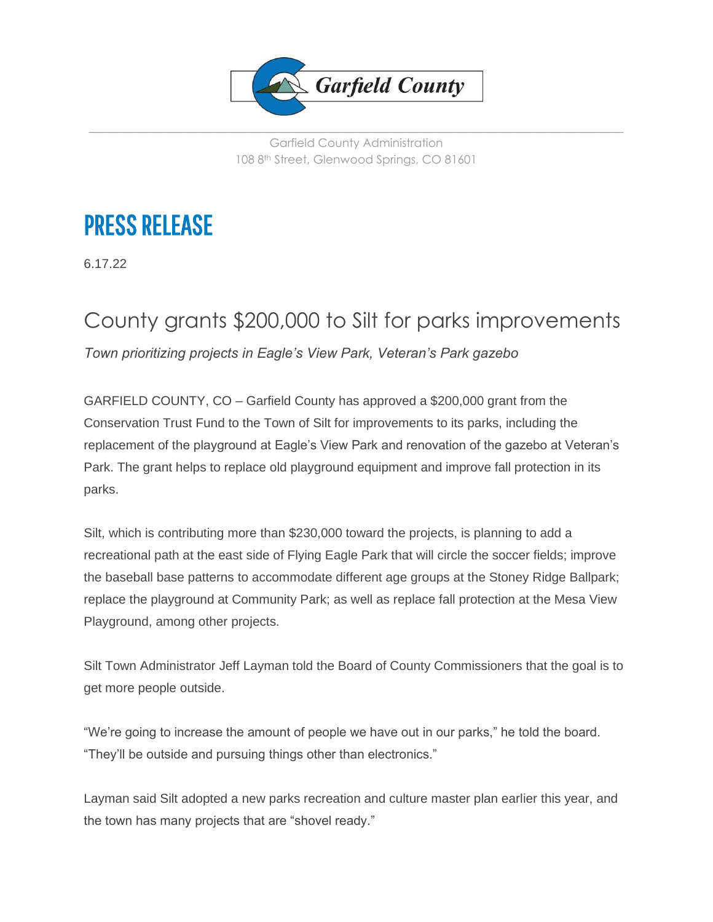

Garfield County Administration 108 8th Street, Glenwood Springs, CO 81601

## PRESS RELEASE

6.17.22

## County grants \$200,000 to Silt for parks improvements

*Town prioritizing projects in Eagle's View Park, Veteran's Park gazebo* 

GARFIELD COUNTY, CO – Garfield County has approved a \$200,000 grant from the Conservation Trust Fund to the Town of Silt for improvements to its parks, including the replacement of the playground at Eagle's View Park and renovation of the gazebo at Veteran's Park. The grant helps to replace old playground equipment and improve fall protection in its parks.

Silt, which is contributing more than \$230,000 toward the projects, is planning to add a recreational path at the east side of Flying Eagle Park that will circle the soccer fields; improve the baseball base patterns to accommodate different age groups at the Stoney Ridge Ballpark; replace the playground at Community Park; as well as replace fall protection at the Mesa View Playground, among other projects.

Silt Town Administrator Jeff Layman told the Board of County Commissioners that the goal is to get more people outside.

"We're going to increase the amount of people we have out in our parks," he told the board. "They'll be outside and pursuing things other than electronics."

Layman said Silt adopted a new parks recreation and culture master plan earlier this year, and the town has many projects that are "shovel ready."